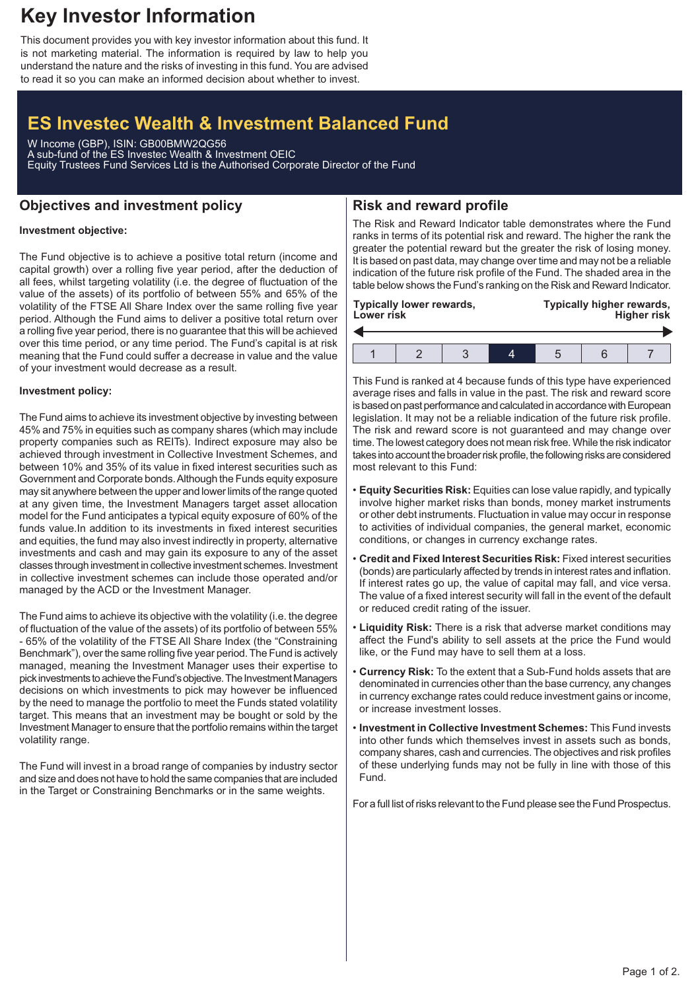# **Key Investor Information**

This document provides you with key investor information about this fund. It is not marketing material. The information is required by law to help you understand the nature and the risks of investing in this fund. You are advised to read it so you can make an informed decision about whether to invest.

## **ES Investec Wealth & Investment Balanced Fund**

W Income (GBP), ISIN: GB00BMW2QG56 A sub-fund of the ES Investec Wealth & Investment OEIC Equity Trustees Fund Services Ltd is the Authorised Corporate Director of the Fund

## **Objectives and investment policy**

## **Risk and reward profile**

#### **Investment objective:**

The Fund objective is to achieve a positive total return (income and capital growth) over a rolling five year period, after the deduction of all fees, whilst targeting volatility (i.e. the degree of fluctuation of the value of the assets) of its portfolio of between 55% and 65% of the volatility of the FTSE All Share Index over the same rolling five year period. Although the Fund aims to deliver a positive total return over a rolling five year period, there is no guarantee that this will be achieved over this time period, or any time period. The Fund's capital is at risk meaning that the Fund could suffer a decrease in value and the value of your investment would decrease as a result.

#### **Investment policy:**

The Fund aims to achieve its investment objective by investing between 45% and 75% in equities such as company shares (which may include property companies such as REITs). Indirect exposure may also be achieved through investment in Collective Investment Schemes, and between 10% and 35% of its value in fixed interest securities such as Government and Corporate bonds.Although the Funds equity exposure may sit anywhere between the upper and lower limits of the range quoted at any given time, the Investment Managers target asset allocation model for the Fund anticipates a typical equity exposure of 60% of the funds value.In addition to its investments in fixed interest securities and equities, the fund may also invest indirectly in property, alternative investments and cash and may gain its exposure to any of the asset classes through investment in collective investment schemes. Investment in collective investment schemes can include those operated and/or managed by the ACD or the Investment Manager.

The Fund aims to achieve its objective with the volatility (i.e. the degree of fluctuation of the value of the assets) of its portfolio of between 55% - 65% of the volatility of the FTSE All Share Index (the "Constraining Benchmark"), over the same rolling five year period. The Fund is actively managed, meaning the Investment Manager uses their expertise to pick investments to achieve the Fund's objective. The Investment Managers decisions on which investments to pick may however be influenced by the need to manage the portfolio to meet the Funds stated volatility target. This means that an investment may be bought or sold by the Investment Manager to ensure that the portfolio remains within the target volatility range.

The Fund will invest in a broad range of companies by industry sector and size and does not have to hold the same companies that are included in the Target or Constraining Benchmarks or in the same weights.

The Risk and Reward Indicator table demonstrates where the Fund ranks in terms of its potential risk and reward. The higher the rank the greater the potential reward but the greater the risk of losing money. It is based on past data, may change over time and may not be a reliable indication of the future risk profile of the Fund. The shaded area in the table below shows the Fund's ranking on the Risk and Reward Indicator.

| Lower risk | <b>Typically lower rewards,</b> |  | Typically higher rewards,<br><b>Higher risk</b> |  |  |  |
|------------|---------------------------------|--|-------------------------------------------------|--|--|--|
|            |                                 |  |                                                 |  |  |  |
|            |                                 |  |                                                 |  |  |  |

This Fund is ranked at 4 because funds of this type have experienced average rises and falls in value in the past. The risk and reward score is based on past performance and calculated in accordance with European legislation. It may not be a reliable indication of the future risk profile. The risk and reward score is not guaranteed and may change over time. The lowest category does not mean risk free.While the risk indicator takes into account the broader risk profile, the following risks are considered most relevant to this Fund:

- **Equity Securities Risk:** Equities can lose value rapidly, and typically involve higher market risks than bonds, money market instruments or other debt instruments. Fluctuation in value may occur in response to activities of individual companies, the general market, economic conditions, or changes in currency exchange rates.
- **Credit and Fixed Interest Securities Risk:** Fixed interest securities (bonds) are particularly affected by trends in interest rates and inflation. If interest rates go up, the value of capital may fall, and vice versa. The value of a fixed interest security will fall in the event of the default or reduced credit rating of the issuer.
- **Liquidity Risk:** There is a risk that adverse market conditions may affect the Fund's ability to sell assets at the price the Fund would like, or the Fund may have to sell them at a loss.
- **Currency Risk:** To the extent that a Sub-Fund holds assets that are denominated in currencies other than the base currency, any changes in currency exchange rates could reduce investment gains or income, or increase investment losses.
- **Investment in Collective Investment Schemes:** This Fund invests into other funds which themselves invest in assets such as bonds, company shares, cash and currencies. The objectives and risk profiles of these underlying funds may not be fully in line with those of this Fund.

For a full list of risks relevant to the Fund please see the Fund Prospectus.